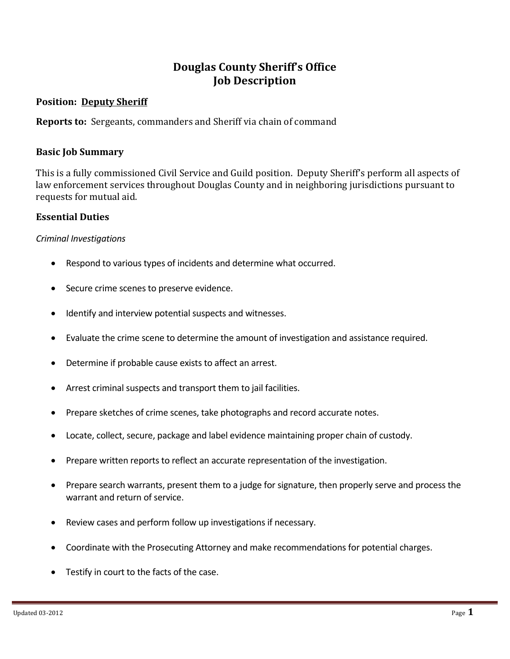# **Douglas County Sheriff's Office Job Description**

### **Position: Deputy Sheriff**

**Reports to:** Sergeants, commanders and Sheriff via chain of command

#### **Basic Job Summary**

This is a fully commissioned Civil Service and Guild position. Deputy Sheriff's perform all aspects of law enforcement services throughout Douglas County and in neighboring jurisdictions pursuant to requests for mutual aid.

#### **Essential Duties**

#### *Criminal Investigations*

- Respond to various types of incidents and determine what occurred.
- Secure crime scenes to preserve evidence.
- Identify and interview potential suspects and witnesses.
- Evaluate the crime scene to determine the amount of investigation and assistance required.
- Determine if probable cause exists to affect an arrest.
- Arrest criminal suspects and transport them to jail facilities.
- Prepare sketches of crime scenes, take photographs and record accurate notes.
- Locate, collect, secure, package and label evidence maintaining proper chain of custody.
- Prepare written reports to reflect an accurate representation of the investigation.
- Prepare search warrants, present them to a judge for signature, then properly serve and process the warrant and return of service.
- Review cases and perform follow up investigations if necessary.
- Coordinate with the Prosecuting Attorney and make recommendations for potential charges.
- Testify in court to the facts of the case.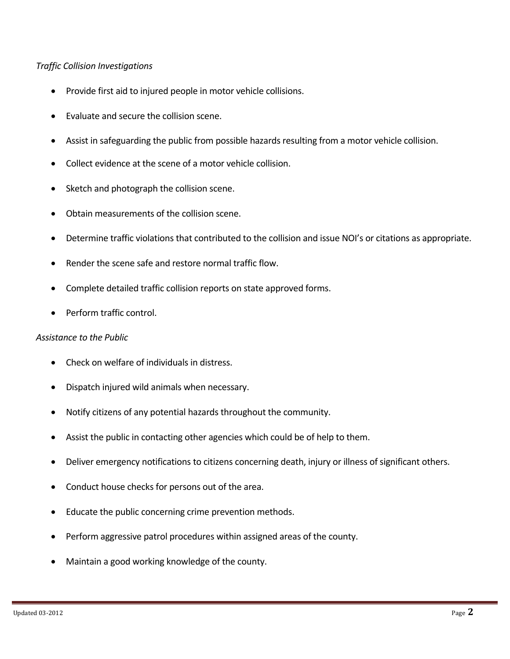#### *Traffic Collision Investigations*

- Provide first aid to injured people in motor vehicle collisions.
- Evaluate and secure the collision scene.
- Assist in safeguarding the public from possible hazards resulting from a motor vehicle collision.
- Collect evidence at the scene of a motor vehicle collision.
- Sketch and photograph the collision scene.
- Obtain measurements of the collision scene.
- Determine traffic violations that contributed to the collision and issue NOI's or citations as appropriate.
- Render the scene safe and restore normal traffic flow.
- Complete detailed traffic collision reports on state approved forms.
- Perform traffic control.

#### *Assistance to the Public*

- Check on welfare of individuals in distress.
- Dispatch injured wild animals when necessary.
- Notify citizens of any potential hazards throughout the community.
- Assist the public in contacting other agencies which could be of help to them.
- Deliver emergency notifications to citizens concerning death, injury or illness of significant others.
- Conduct house checks for persons out of the area.
- Educate the public concerning crime prevention methods.
- Perform aggressive patrol procedures within assigned areas of the county.
- Maintain a good working knowledge of the county.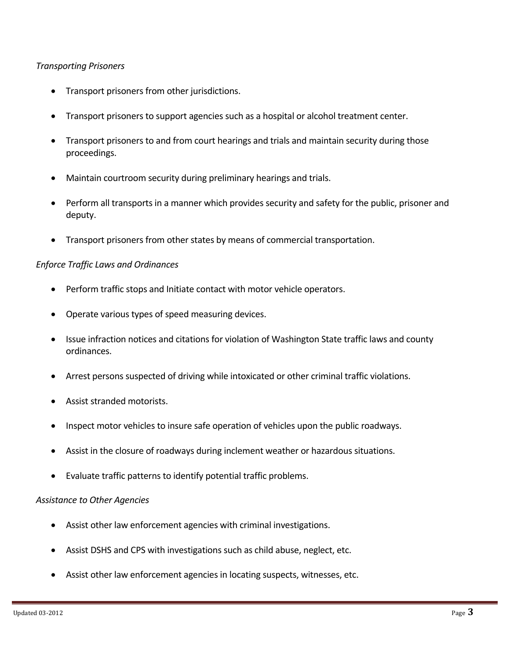#### *Transporting Prisoners*

- Transport prisoners from other jurisdictions.
- Transport prisoners to support agencies such as a hospital or alcohol treatment center.
- Transport prisoners to and from court hearings and trials and maintain security during those proceedings.
- Maintain courtroom security during preliminary hearings and trials.
- Perform all transports in a manner which provides security and safety for the public, prisoner and deputy.
- Transport prisoners from other states by means of commercial transportation.

#### *Enforce Traffic Laws and Ordinances*

- Perform traffic stops and Initiate contact with motor vehicle operators.
- Operate various types of speed measuring devices.
- Issue infraction notices and citations for violation of Washington State traffic laws and county ordinances.
- Arrest persons suspected of driving while intoxicated or other criminal traffic violations.
- Assist stranded motorists.
- Inspect motor vehicles to insure safe operation of vehicles upon the public roadways.
- Assist in the closure of roadways during inclement weather or hazardous situations.
- Evaluate traffic patterns to identify potential traffic problems.

#### *Assistance to Other Agencies*

- Assist other law enforcement agencies with criminal investigations.
- Assist DSHS and CPS with investigations such as child abuse, neglect, etc.
- Assist other law enforcement agencies in locating suspects, witnesses, etc.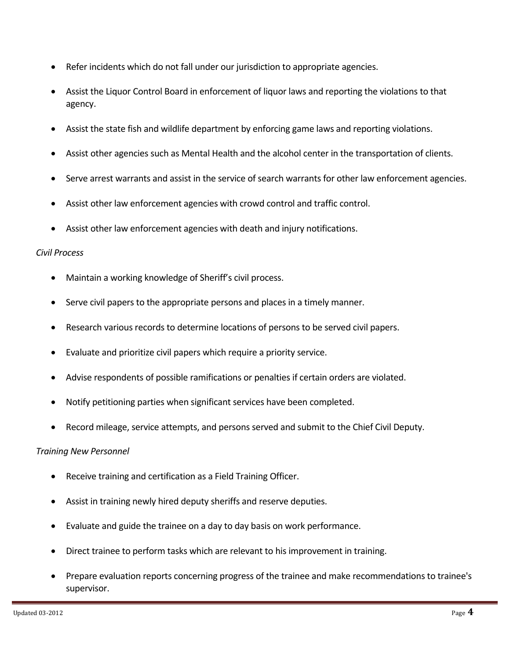- Refer incidents which do not fall under our jurisdiction to appropriate agencies.
- Assist the Liquor Control Board in enforcement of liquor laws and reporting the violations to that agency.
- Assist the state fish and wildlife department by enforcing game laws and reporting violations.
- Assist other agencies such as Mental Health and the alcohol center in the transportation of clients.
- Serve arrest warrants and assist in the service of search warrants for other law enforcement agencies.
- Assist other law enforcement agencies with crowd control and traffic control.
- Assist other law enforcement agencies with death and injury notifications.

#### *Civil Process*

- Maintain a working knowledge of Sheriff's civil process.
- Serve civil papers to the appropriate persons and places in a timely manner.
- Research various records to determine locations of persons to be served civil papers.
- Evaluate and prioritize civil papers which require a priority service.
- Advise respondents of possible ramifications or penalties if certain orders are violated.
- Notify petitioning parties when significant services have been completed.
- Record mileage, service attempts, and persons served and submit to the Chief Civil Deputy.

## *Training New Personnel*

- Receive training and certification as a Field Training Officer.
- Assist in training newly hired deputy sheriffs and reserve deputies.
- Evaluate and guide the trainee on a day to day basis on work performance.
- Direct trainee to perform tasks which are relevant to his improvement in training.
- Prepare evaluation reports concerning progress of the trainee and make recommendations to trainee's supervisor.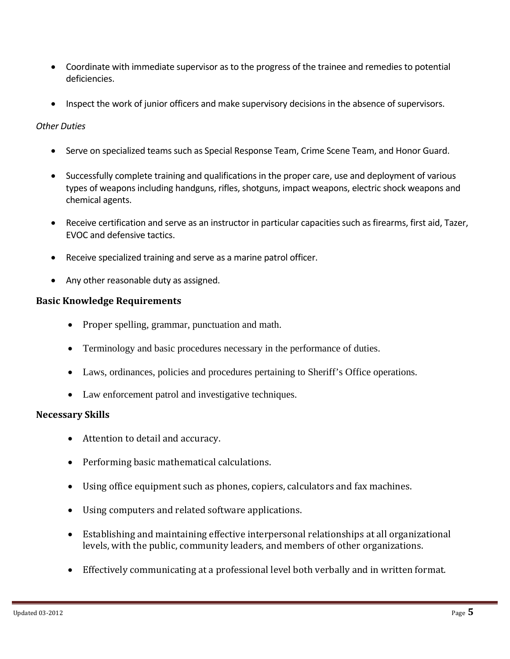- Coordinate with immediate supervisor as to the progress of the trainee and remedies to potential deficiencies.
- Inspect the work of junior officers and make supervisory decisions in the absence of supervisors.

## *Other Duties*

- Serve on specialized teams such as Special Response Team, Crime Scene Team, and Honor Guard.
- Successfully complete training and qualifications in the proper care, use and deployment of various types of weapons including handguns, rifles, shotguns, impact weapons, electric shock weapons and chemical agents.
- Receive certification and serve as an instructor in particular capacities such as firearms, first aid, Tazer, EVOC and defensive tactics.
- Receive specialized training and serve as a marine patrol officer.
- Any other reasonable duty as assigned.

## **Basic Knowledge Requirements**

- Proper spelling, grammar, punctuation and math.
- Terminology and basic procedures necessary in the performance of duties.
- Laws, ordinances, policies and procedures pertaining to Sheriff's Office operations.
- Law enforcement patrol and investigative techniques.

## **Necessary Skills**

- Attention to detail and accuracy.
- Performing basic mathematical calculations.
- Using office equipment such as phones, copiers, calculators and fax machines.
- Using computers and related software applications.
- Establishing and maintaining effective interpersonal relationships at all organizational levels, with the public, community leaders, and members of other organizations.
- Effectively communicating at a professional level both verbally and in written format.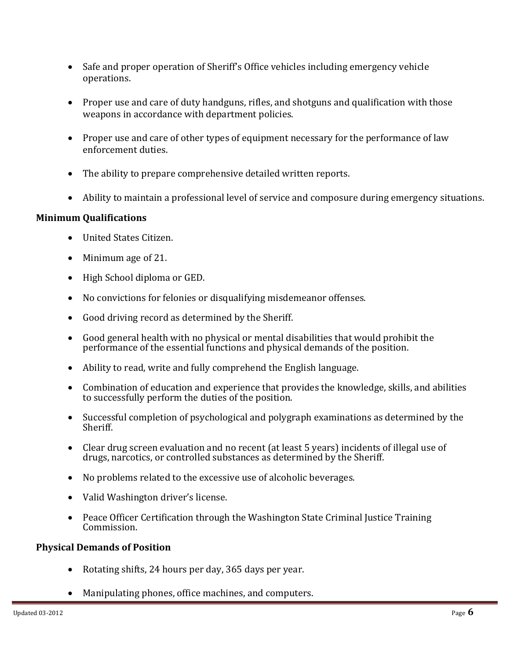- Safe and proper operation of Sheriff's Office vehicles including emergency vehicle operations.
- Proper use and care of duty handguns, rifles, and shotguns and qualification with those weapons in accordance with department policies.
- Proper use and care of other types of equipment necessary for the performance of law enforcement duties.
- The ability to prepare comprehensive detailed written reports.
- Ability to maintain a professional level of service and composure during emergency situations.

## **Minimum Qualifications**

- United States Citizen.
- Minimum age of 21.
- High School diploma or GED.
- No convictions for felonies or disqualifying misdemeanor offenses.
- Good driving record as determined by the Sheriff.
- Good general health with no physical or mental disabilities that would prohibit the performance of the essential functions and physical demands of the position.
- $\bullet$  Ability to read, write and fully comprehend the English language.
- Combination of education and experience that provides the knowledge, skills, and abilities to successfully perform the duties of the position.
- $\bullet$  Successful completion of psychological and polygraph examinations as determined by the Sheriff.
- Clear drug screen evaluation and no recent (at least 5 years) incidents of illegal use of drugs, narcotics, or controlled substances as determined by the Sheriff.
- $\bullet$  No problems related to the excessive use of alcoholic beverages.
- Valid Washington driver's license.
- Peace Officer Certification through the Washington State Criminal Justice Training Commission.

## **Physical Demands of Position**

- Rotating shifts, 24 hours per day, 365 days per year.
- Manipulating phones, office machines, and computers.